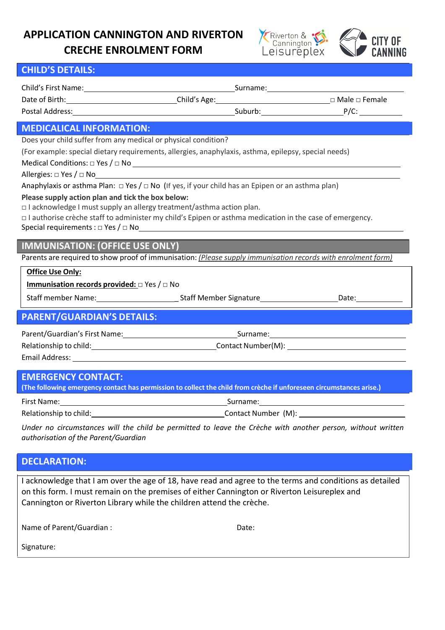# **APPLICATION CANNINGTON AND RIVERTON CRECHE ENROLMENT FORM**



### **CHILD'S DETAILS:**

| Postal Address: Postal Address: Postal Address: Postal Address: Postal Address: Postal Address: Postal Address                                                                                                                                                                                           |                                                                                                                        |  |  |  |
|----------------------------------------------------------------------------------------------------------------------------------------------------------------------------------------------------------------------------------------------------------------------------------------------------------|------------------------------------------------------------------------------------------------------------------------|--|--|--|
| <b>MEDICALICAL INFORMATION:</b>                                                                                                                                                                                                                                                                          |                                                                                                                        |  |  |  |
| Does your child suffer from any medical or physical condition?                                                                                                                                                                                                                                           |                                                                                                                        |  |  |  |
| (For example: special dietary requirements, allergies, anaphylaxis, asthma, epilepsy, special needs)                                                                                                                                                                                                     |                                                                                                                        |  |  |  |
|                                                                                                                                                                                                                                                                                                          |                                                                                                                        |  |  |  |
| Allergies: $\Box$ Yes / $\Box$ No                                                                                                                                                                                                                                                                        | <u> 1989 - Johann Stoff, deutscher Stoffen und der Stoffen und der Stoffen und der Stoffen und der Stoffen und der</u> |  |  |  |
| Anaphylaxis or asthma Plan: $\Box$ Yes / $\Box$ No (If yes, if your child has an Epipen or an asthma plan)                                                                                                                                                                                               |                                                                                                                        |  |  |  |
| Please supply action plan and tick the box below:<br>□ I acknowledge I must supply an allergy treatment/asthma action plan.<br>$\Box$ I authorise crèche staff to administer my child's Epipen or asthma medication in the case of emergency.<br>Special requirements : $\Box$ Yes / $\Box$ No<br>$\Box$ |                                                                                                                        |  |  |  |
| <b>IMMUNISATION: (OFFICE USE ONLY)</b>                                                                                                                                                                                                                                                                   |                                                                                                                        |  |  |  |
| Parents are required to show proof of immunisation: (Please supply immunisation records with enrolment form)                                                                                                                                                                                             |                                                                                                                        |  |  |  |
| Office Use Only:                                                                                                                                                                                                                                                                                         |                                                                                                                        |  |  |  |
| <b>Immunisation records provided:</b> $\Box$ Yes / $\Box$ No                                                                                                                                                                                                                                             |                                                                                                                        |  |  |  |
| Staff member Name: _________________________________Staff Member Signature_________________________Date:_____________                                                                                                                                                                                    |                                                                                                                        |  |  |  |
| <b>PARENT/GUARDIAN'S DETAILS:</b>                                                                                                                                                                                                                                                                        |                                                                                                                        |  |  |  |
|                                                                                                                                                                                                                                                                                                          |                                                                                                                        |  |  |  |
|                                                                                                                                                                                                                                                                                                          |                                                                                                                        |  |  |  |
|                                                                                                                                                                                                                                                                                                          |                                                                                                                        |  |  |  |
|                                                                                                                                                                                                                                                                                                          |                                                                                                                        |  |  |  |
| <b>EMERGENCY CONTACT:</b>                                                                                                                                                                                                                                                                                |                                                                                                                        |  |  |  |
| (The following emergency contact has permission to collect the child from crèche if unforeseen circumstances arise.)                                                                                                                                                                                     |                                                                                                                        |  |  |  |
|                                                                                                                                                                                                                                                                                                          |                                                                                                                        |  |  |  |
| Relationship to child:                                                                                                                                                                                                                                                                                   |                                                                                                                        |  |  |  |

Under no circumstances will the child be permitted to leave the Crèche with another person, without written *authorisation of the Parent/Guardian*

## **DECLARATION:**

I acknowledge that I am over the age of 18, have read and agree to the terms and conditions as detailed on this form. I must remain on the premises of either Cannington or Riverton Leisureplex and Cannington or Riverton Library while the children attend the crèche.

Name of Parent/Guardian : Date:

Signature: